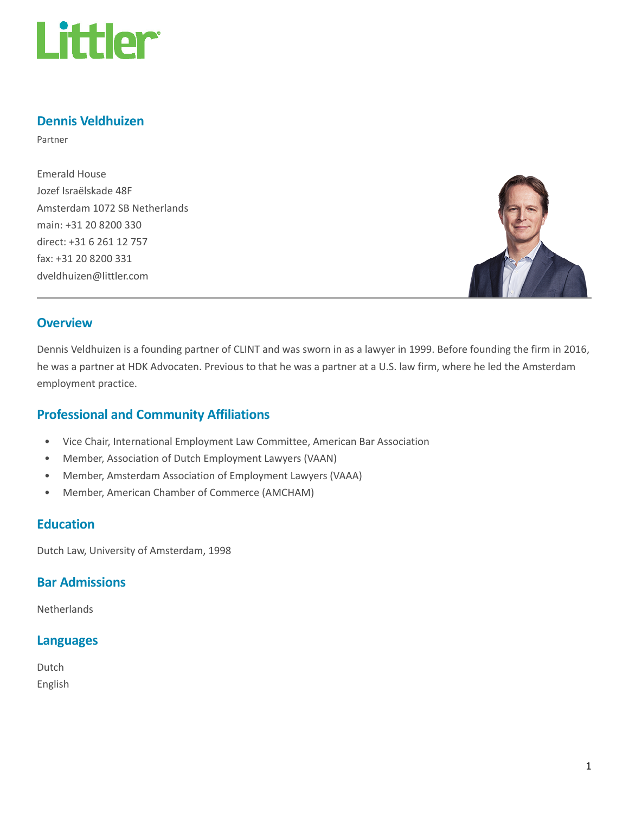

## Dennis Veldhuizen

Partner

Emerald House Jozef Israëlskade 48F Amsterdam 1072 SB Netherlands main: +31 20 8200 330 direct: +31 6 261 12 757 fax: +31 20 8200 331 dveldhuizen@littler.com



### **Overview**

Dennis Veldhuizen is a founding partner of CLINT and was sworn in as a lawyer in 1999. Before founding the firm in 2016, he was a partner at HDK Advocaten. Previous to that he was a partner at a U.S. law firm, where he led the Amsterdam employment practice.

## Professional and Community Affiliations

- Vice Chair, International Employment Law Committee, American Bar Association
- Member, Association of Dutch Employment Lawyers (VAAN)
- Member, Amsterdam Association of Employment Lawyers (VAAA)
- Member, American Chamber of Commerce (AMCHAM)

### **Education**

Dutch Law, University of Amsterdam, 1998

### Bar Admissions

**Netherlands** 

# Languages

Dutch English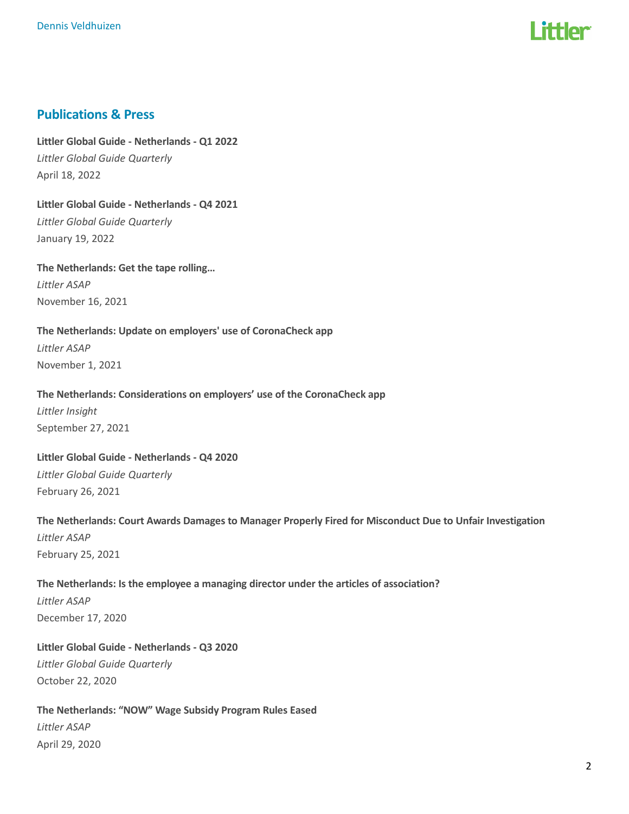

### Publications & Press

Littler Global Guide - Netherlands - Q1 2022 Littler Global Guide Quarterly April 18, 2022

Littler Global Guide - Netherlands - Q4 2021 Littler Global Guide Quarterly January 19, 2022

The Netherlands: Get the tape rolling… Littler ASAP November 16, 2021

The Netherlands: Update on employers' use of CoronaCheck app Littler ASAP November 1, 2021

#### The Netherlands: Considerations on employers' use of the CoronaCheck app

Littler Insight September 27, 2021

Littler Global Guide - Netherlands - Q4 2020 Littler Global Guide Quarterly February 26, 2021

The Netherlands: Court Awards Damages to Manager Properly Fired for Misconduct Due to Unfair Investigation Littler ASAP February 25, 2021

The Netherlands: Is the employee a managing director under the articles of association? Littler ASAP December 17, 2020

Littler Global Guide - Netherlands - Q3 2020 Littler Global Guide Quarterly October 22, 2020

The Netherlands: "NOW" Wage Subsidy Program Rules Eased Littler ASAP April 29, 2020